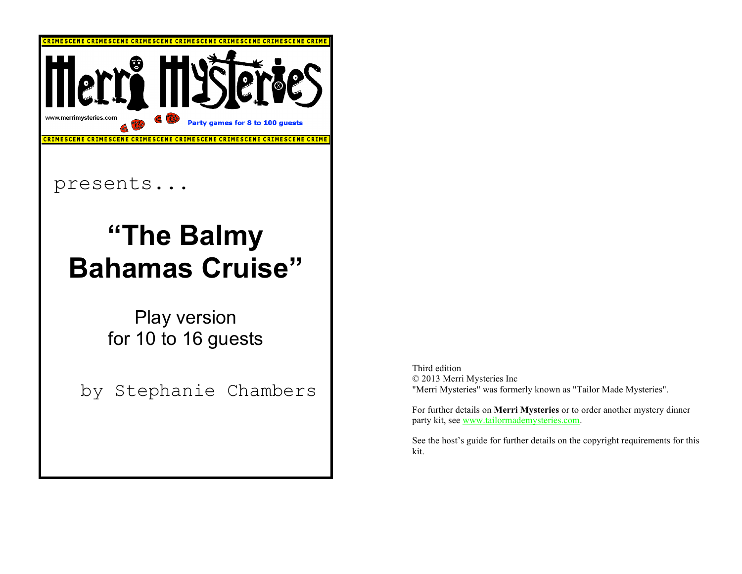

presents...

## **"The Balmy Bahamas Cruise"**

Play version for 10 to 16 guests

by Stephanie Chambers

Third edition © 2013 Merri Mysteries Inc "Merri Mysteries" was formerly known as "Tailor Made Mysteries".

For further details on **Merri Mysteries** or to order another mystery dinner party kit, see www.tailormademysteries.com.

See the host's guide for further details on the copyright requirements for this kit.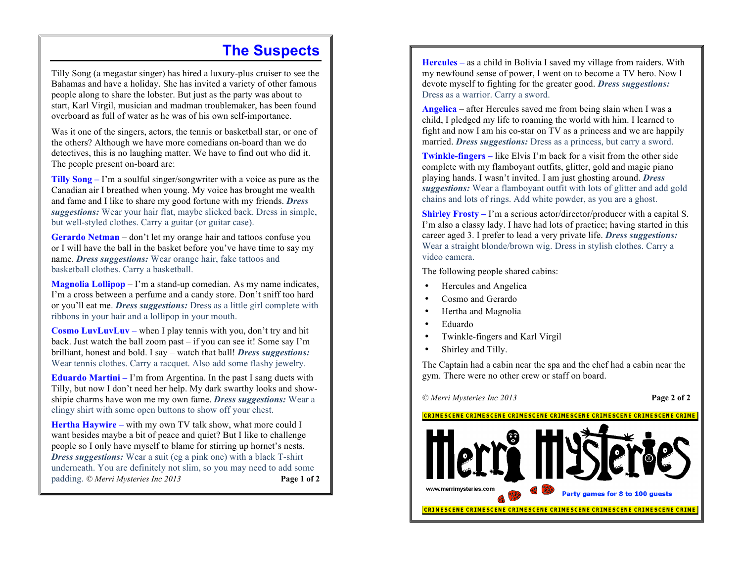#### **The Suspects**

Tilly Song (a megastar singer) has hired a luxury-plus cruiser to see the Bahamas and have a holiday. She has invited a variety of other famous people along to share the lobster. But just as the party was about to start, Karl Virgil, musician and madman troublemaker, has been found overboard as full of water as he was of his own self-importance.

Was it one of the singers, actors, the tennis or basketball star, or one of the others? Although we have more comedians on-board than we do detectives, this is no laughing matter. We have to find out who did it. The people present on-board are:

**Tilly Song –** I'm a soulful singer/songwriter with a voice as pure as the Canadian air I breathed when young. My voice has brought me wealth and fame and I like to share my good fortune with my friends. *Dress suggestions:* Wear your hair flat, maybe slicked back. Dress in simple, but well-styled clothes. Carry a guitar (or guitar case).

**Gerardo Netman** *–* don't let my orange hair and tattoos confuse you or I will have the ball in the basket before you've have time to say my name. *Dress suggestions:* Wear orange hair, fake tattoos and basketball clothes. Carry a basketball.

**Magnolia Lollipop** *–* I'm a stand-up comedian. As my name indicates, I'm a cross between a perfume and a candy store. Don't sniff too hard or you'll eat me. *Dress suggestions:* Dress as a little girl complete with ribbons in your hair and a lollipop in your mouth.

**Cosmo LuvLuvLuv** – when I play tennis with you, don't try and hit back. Just watch the ball zoom past – if you can see it! Some say I'm brilliant, honest and bold. I say – watch that ball! *Dress suggestions:* Wear tennis clothes. Carry a racquet. Also add some flashy jewelry.

**Eduardo Martini** – I'm from Argentina. In the past I sang duets with Tilly, but now I don't need her help. My dark swarthy looks and showshipie charms have won me my own fame. *Dress suggestions:* Wear a clingy shirt with some open buttons to show off your chest.

Hertha Haywire – with my own TV talk show, what more could I want besides maybe a bit of peace and quiet? But I like to challenge people so I only have myself to blame for stirring up hornet's nests. *Dress suggestions:* Wear a suit (eg a pink one) with a black T-shirt underneath. You are definitely not slim, so you may need to add some padding. *© Merri Mysteries Inc 2013* **Page 1 of 2**

**Hercules –** as a child in Bolivia I saved my village from raiders. With my newfound sense of power, I went on to become a TV hero. Now I devote myself to fighting for the greater good. *Dress suggestions:* Dress as a warrior. Carry a sword.

**Angelica** – after Hercules saved me from being slain when I was a child, I pledged my life to roaming the world with him. I learned to fight and now I am his co-star on TV as a princess and we are happily married. *Dress suggestions:* Dress as a princess, but carry a sword.

**Twinkle-fingers –** like Elvis I'm back for a visit from the other side complete with my flamboyant outfits, glitter, gold and magic piano playing hands. I wasn't invited. I am just ghosting around. *Dress suggestions:* Wear a flamboyant outfit with lots of glitter and add gold chains and lots of rings. Add white powder, as you are a ghost.

**Shirley Frosty** – I'm a serious actor/director/producer with a capital S. I'm also a classy lady. I have had lots of practice; having started in this career aged 3. I prefer to lead a very private life. *Dress suggestions:* Wear a straight blonde/brown wig. Dress in stylish clothes. Carry a video camera.

The following people shared cabins:

- Hercules and Angelica
- Cosmo and Gerardo
- Hertha and Magnolia
- Eduardo
- Twinkle-fingers and Karl Virgil
- Shirley and Tilly.

The Captain had a cabin near the spa and the chef had a cabin near the gym. There were no other crew or staff on board.

*© Merri Mysteries Inc 2013* **Page 2 of 2** 

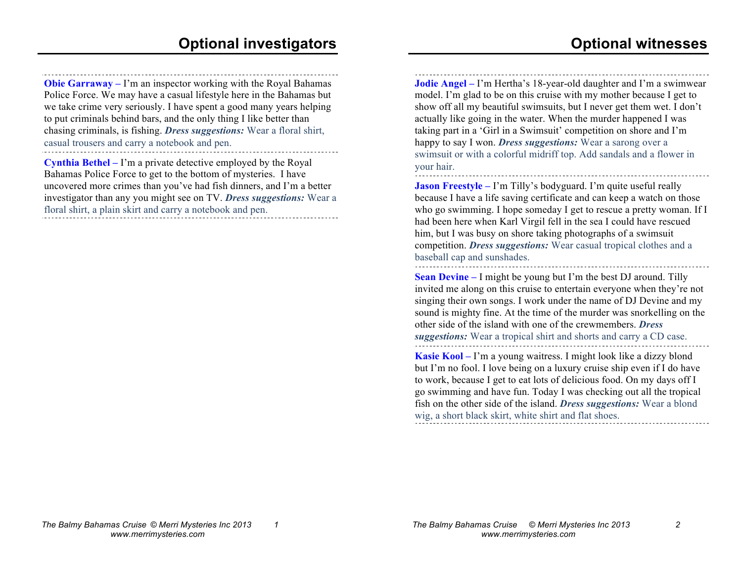**Obie Garraway** – I'm an inspector working with the Royal Bahamas Police Force. We may have a casual lifestyle here in the Bahamas but we take crime very seriously. I have spent a good many years helping to put criminals behind bars, and the only thing I like better than chasing criminals, is fishing. *Dress suggestions:* Wear a floral shirt, casual trousers and carry a notebook and pen.

**Cynthia Bethel –** I'm a private detective employed by the Royal Bahamas Police Force to get to the bottom of mysteries. I have uncovered more crimes than you've had fish dinners, and I'm a better investigator than any you might see on TV. *Dress suggestions:* Wear a floral shirt, a plain skirt and carry a notebook and pen.

**Jodie Angel –** I'm Hertha's 18-year-old daughter and I'm a swimwear model. I'm glad to be on this cruise with my mother because I get to show off all my beautiful swimsuits, but I never get them wet. I don't actually like going in the water. When the murder happened I was taking part in a 'Girl in a Swimsuit' competition on shore and I'm happy to say I won. *Dress suggestions:* Wear a sarong over a swimsuit or with a colorful midriff top. Add sandals and a flower in your hair.

**Jason Freestyle** – I'm Tilly's bodyguard. I'm quite useful really because I have a life saving certificate and can keep a watch on those who go swimming. I hope someday I get to rescue a pretty woman. If I had been here when Karl Virgil fell in the sea I could have rescued him, but I was busy on shore taking photographs of a swimsuit competition. *Dress suggestions:* Wear casual tropical clothes and a baseball cap and sunshades.

**Sean Devine –** I might be young but I'm the best DJ around. Tilly invited me along on this cruise to entertain everyone when they're not singing their own songs. I work under the name of DJ Devine and my sound is mighty fine. At the time of the murder was snorkelling on the other side of the island with one of the crewmembers. *Dress suggestions:* Wear a tropical shirt and shorts and carry a CD case.

**Kasie Kool –** I'm a young waitress. I might look like a dizzy blond but I'm no fool. I love being on a luxury cruise ship even if I do have to work, because I get to eat lots of delicious food. On my days off I go swimming and have fun. Today I was checking out all the tropical fish on the other side of the island. *Dress suggestions:* Wear a blond wig, a short black skirt, white shirt and flat shoes.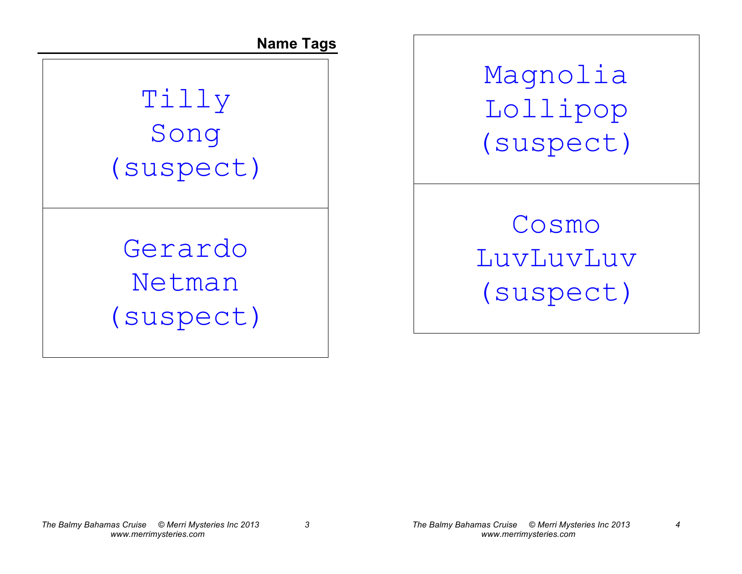**Name Tags**

## Tilly Song (suspect)

Gerardo Netman (suspect) Magnolia Lollipop (suspect)

Cosmo LuvLuvLuv (suspect)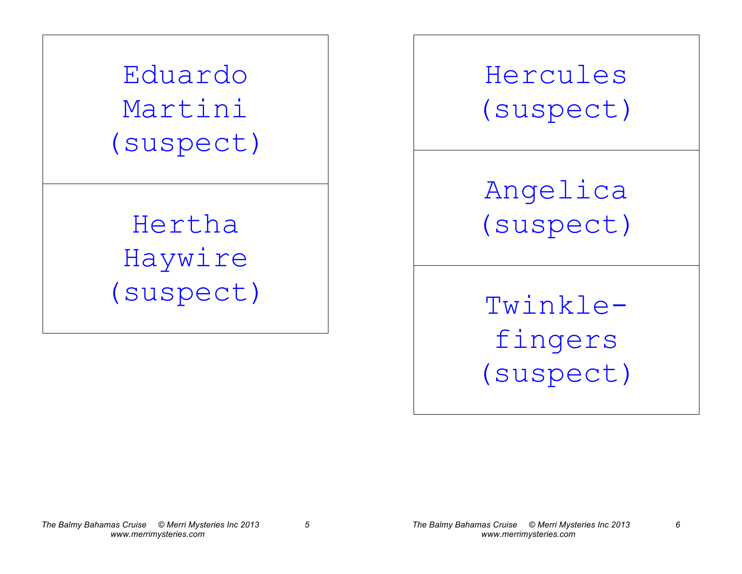Eduardo Martini (suspect)

Hertha Haywire (suspect)

Hercules (suspect)

Angelica (suspect)

Twinklefingers (suspect)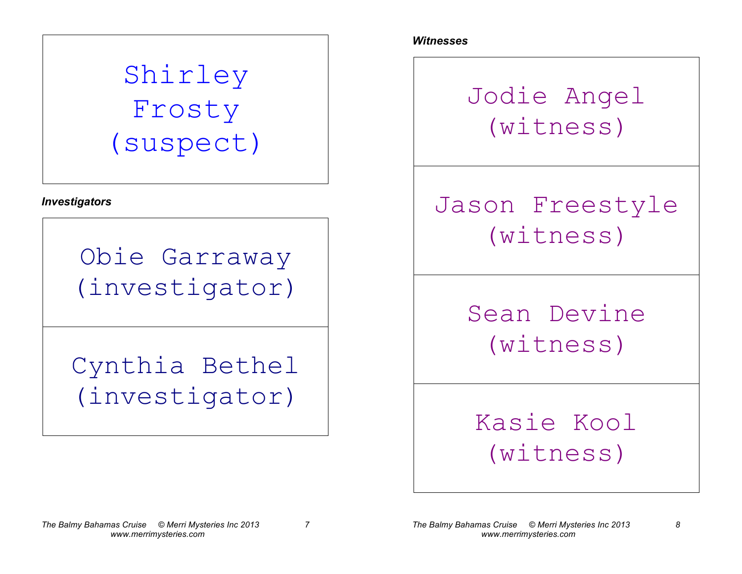## Shirley Frosty (suspect)

*Investigators*

Obie Garraway (investigator)

Cynthia Bethel (investigator)

*Witnesses*

Jodie Angel (witness)

### Jason Freestyle (witness)

Sean Devine (witness)

#### Kasie Kool (witness)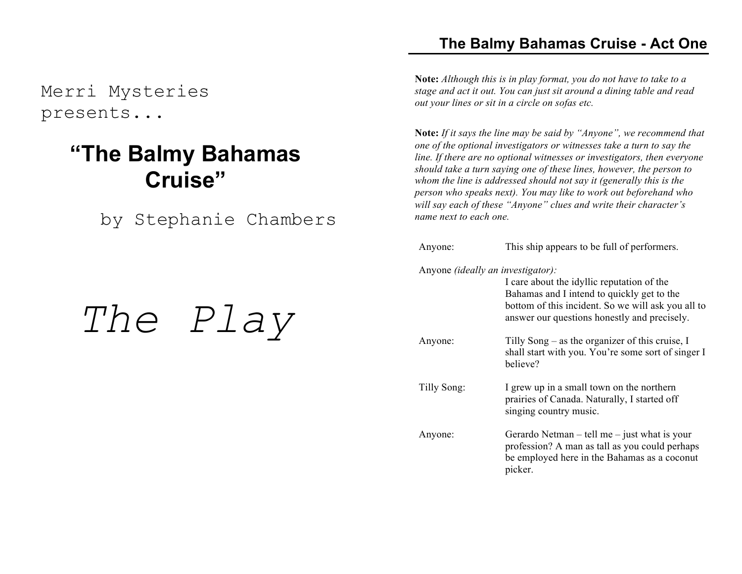Merri Mysteries presents...

#### **"The Balmy Bahamas Cruise"**

by Stephanie Chambers

# *The Play*

#### **The Balmy Bahamas Cruise - Act One**

**Note:** *Although this is in play format, you do not have to take to a stage and act it out. You can just sit around a dining table and read out your lines or sit in a circle on sofas etc.*

**Note:** *If it says the line may be said by "Anyone", we recommend that one of the optional investigators or witnesses take a turn to say the line. If there are no optional witnesses or investigators, then everyone should take a turn saying one of these lines, however, the person to whom the line is addressed should not say it (generally this is the person who speaks next). You may like to work out beforehand who will say each of these "Anyone" clues and write their character's name next to each one.*

#### Anyone: This ship appears to be full of performers.

Anyone *(ideally an investigator):*

|             | I care about the idyllic reputation of the<br>Bahamas and I intend to quickly get to the<br>bottom of this incident. So we will ask you all to<br>answer our questions honestly and precisely. |
|-------------|------------------------------------------------------------------------------------------------------------------------------------------------------------------------------------------------|
| Anyone:     | Tilly Song $-$ as the organizer of this cruise, I<br>shall start with you. You're some sort of singer I<br>believe?                                                                            |
| Tilly Song: | I grew up in a small town on the northern<br>prairies of Canada. Naturally, I started off<br>singing country music.                                                                            |
| Anyone:     | Gerardo Netman $-$ tell me $-$ just what is your<br>profession? A man as tall as you could perhaps<br>be employed here in the Bahamas as a coconut<br>picker.                                  |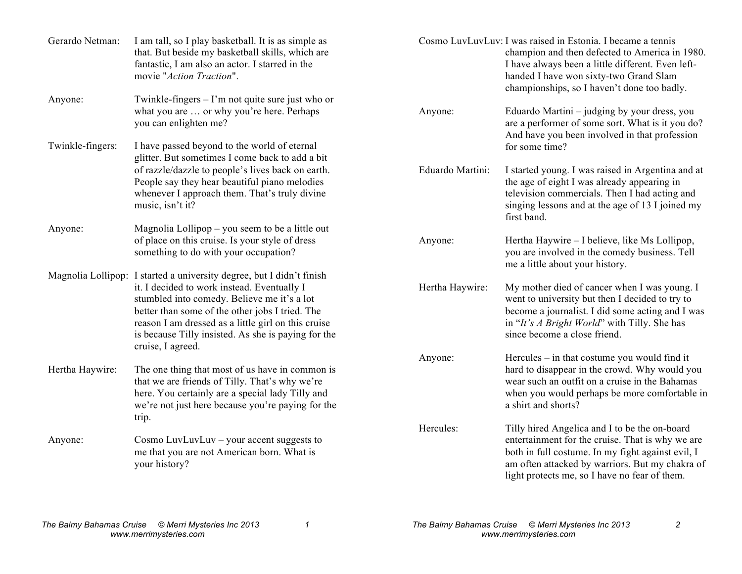| Gerardo Netman:  | I am tall, so I play basketball. It is as simple as<br>that. But beside my basketball skills, which are<br>fantastic, I am also an actor. I starred in the<br>movie "Action Traction".                                                                                                                                                                    |                  | Cosmo LuvLuvLuv: I was raised in Estonia. I became a tennis<br>champion and then defected to America in 1980.<br>I have always been a little different. Even left-<br>handed I have won sixty-two Grand Slam<br>championships, so I haven't done too badly. |
|------------------|-----------------------------------------------------------------------------------------------------------------------------------------------------------------------------------------------------------------------------------------------------------------------------------------------------------------------------------------------------------|------------------|-------------------------------------------------------------------------------------------------------------------------------------------------------------------------------------------------------------------------------------------------------------|
| Anyone:          | Twinkle-fingers $-1$ 'm not quite sure just who or<br>what you are  or why you're here. Perhaps<br>you can enlighten me?                                                                                                                                                                                                                                  | Anyone:          | Eduardo Martini – judging by your dress, you<br>are a performer of some sort. What is it you do?<br>And have you been involved in that profession                                                                                                           |
| Twinkle-fingers: | I have passed beyond to the world of eternal<br>glitter. But sometimes I come back to add a bit                                                                                                                                                                                                                                                           |                  | for some time?                                                                                                                                                                                                                                              |
|                  | of razzle/dazzle to people's lives back on earth.<br>People say they hear beautiful piano melodies<br>whenever I approach them. That's truly divine<br>music, isn't it?                                                                                                                                                                                   | Eduardo Martini: | I started young. I was raised in Argentina and at<br>the age of eight I was already appearing in<br>television commercials. Then I had acting and<br>singing lessons and at the age of 13 I joined my<br>first band.                                        |
| Anyone:          | Magnolia Lollipop – you seem to be a little out<br>of place on this cruise. Is your style of dress<br>something to do with your occupation?                                                                                                                                                                                                               | Anyone:          | Hertha Haywire – I believe, like Ms Lollipop,<br>you are involved in the comedy business. Tell<br>me a little about your history.                                                                                                                           |
|                  | Magnolia Lollipop: I started a university degree, but I didn't finish<br>it. I decided to work instead. Eventually I<br>stumbled into comedy. Believe me it's a lot<br>better than some of the other jobs I tried. The<br>reason I am dressed as a little girl on this cruise<br>is because Tilly insisted. As she is paying for the<br>cruise, I agreed. | Hertha Haywire:  | My mother died of cancer when I was young. I<br>went to university but then I decided to try to<br>become a journalist. I did some acting and I was<br>in "It's A Bright World" with Tilly. She has<br>since become a close friend.                         |
| Hertha Haywire:  | The one thing that most of us have in common is<br>that we are friends of Tilly. That's why we're<br>here. You certainly are a special lady Tilly and<br>we're not just here because you're paying for the<br>trip.                                                                                                                                       | Anyone:          | Hercules - in that costume you would find it<br>hard to disappear in the crowd. Why would you<br>wear such an outfit on a cruise in the Bahamas<br>when you would perhaps be more comfortable in<br>a shirt and shorts?                                     |
| Anyone:          | Cosmo LuvLuvLuv - your accent suggests to<br>me that you are not American born. What is<br>your history?                                                                                                                                                                                                                                                  | Hercules:        | Tilly hired Angelica and I to be the on-board<br>entertainment for the cruise. That is why we are<br>both in full costume. In my fight against evil, I<br>am often attacked by warriors. But my chakra of<br>light protects me, so I have no fear of them.  |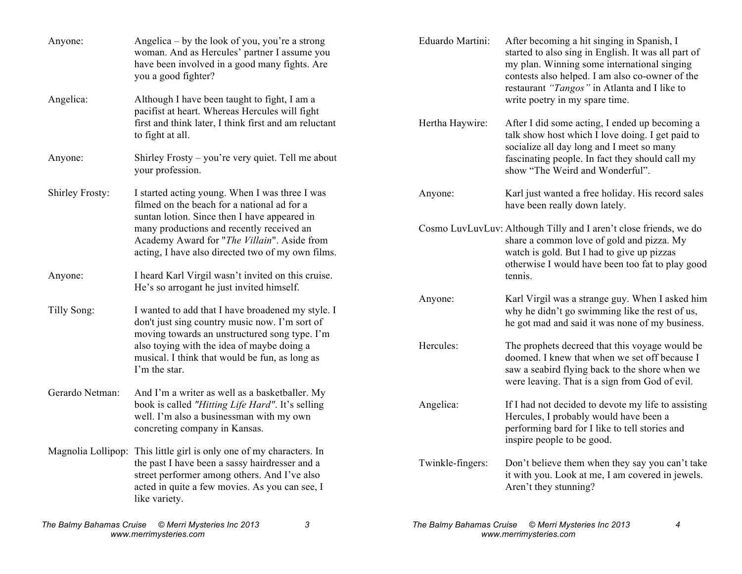| Anyone:         | Angelica – by the look of you, you're a strong<br>woman. And as Hercules' partner I assume you<br>have been involved in a good many fights. Are<br>you a good fighter?                                                                    | Eduardo Martini: | After becoming a hit singing in Spanish, I<br>started to also sing in English. It was all part of<br>my plan. Winning some international singing<br>contests also helped. I am also co-owner of the<br>restaurant "Tangos" in Atlanta and I like to |
|-----------------|-------------------------------------------------------------------------------------------------------------------------------------------------------------------------------------------------------------------------------------------|------------------|-----------------------------------------------------------------------------------------------------------------------------------------------------------------------------------------------------------------------------------------------------|
| Angelica:       | Although I have been taught to fight, I am a<br>pacifist at heart. Whereas Hercules will fight                                                                                                                                            |                  | write poetry in my spare time.                                                                                                                                                                                                                      |
|                 | first and think later, I think first and am reluctant<br>to fight at all.                                                                                                                                                                 | Hertha Haywire:  | After I did some acting, I ended up becoming a<br>talk show host which I love doing. I get paid to<br>socialize all day long and I meet so many                                                                                                     |
| Anyone:         | Shirley Frosty – you're very quiet. Tell me about<br>your profession.                                                                                                                                                                     |                  | fascinating people. In fact they should call my<br>show "The Weird and Wonderful".                                                                                                                                                                  |
| Shirley Frosty: | I started acting young. When I was three I was<br>filmed on the beach for a national ad for a                                                                                                                                             | Anyone:          | Karl just wanted a free holiday. His record sales<br>have been really down lately.                                                                                                                                                                  |
|                 | suntan lotion. Since then I have appeared in<br>many productions and recently received an<br>Academy Award for "The Villain". Aside from<br>acting, I have also directed two of my own films.                                             |                  | Cosmo LuvLuvLuv: Although Tilly and I aren't close friends, we do<br>share a common love of gold and pizza. My<br>watch is gold. But I had to give up pizzas<br>otherwise I would have been too fat to play good                                    |
| Anyone:         | I heard Karl Virgil wasn't invited on this cruise.<br>He's so arrogant he just invited himself.                                                                                                                                           |                  | tennis.                                                                                                                                                                                                                                             |
| Tilly Song:     | I wanted to add that I have broadened my style. I<br>don't just sing country music now. I'm sort of<br>moving towards an unstructured song type. I'm                                                                                      | Anyone:          | Karl Virgil was a strange guy. When I asked him<br>why he didn't go swimming like the rest of us,<br>he got mad and said it was none of my business.                                                                                                |
|                 | also toying with the idea of maybe doing a<br>musical. I think that would be fun, as long as<br>I'm the star.                                                                                                                             | Hercules:        | The prophets decreed that this voyage would be<br>doomed. I knew that when we set off because I<br>saw a seabird flying back to the shore when we<br>were leaving. That is a sign from God of evil.                                                 |
| Gerardo Netman: | And I'm a writer as well as a basketballer. My<br>book is called "Hitting Life Hard". It's selling<br>well. I'm also a businessman with my own<br>concreting company in Kansas.                                                           | Angelica:        | If I had not decided to devote my life to assisting<br>Hercules, I probably would have been a<br>performing bard for I like to tell stories and<br>inspire people to be good.                                                                       |
|                 | Magnolia Lollipop: This little girl is only one of my characters. In<br>the past I have been a sassy hairdresser and a<br>street performer among others. And I've also<br>acted in quite a few movies. As you can see, I<br>like variety. | Twinkle-fingers: | Don't believe them when they say you can't take<br>it with you. Look at me, I am covered in jewels.<br>Aren't they stunning?                                                                                                                        |

*The Balmy Bahamas Cruise © Merri Mysteries Inc 2013 3 www.merrimysteries.com*

*The Balmy Bahamas Cruise © Merri Mysteries Inc 2013 4 www.merrimysteries.com*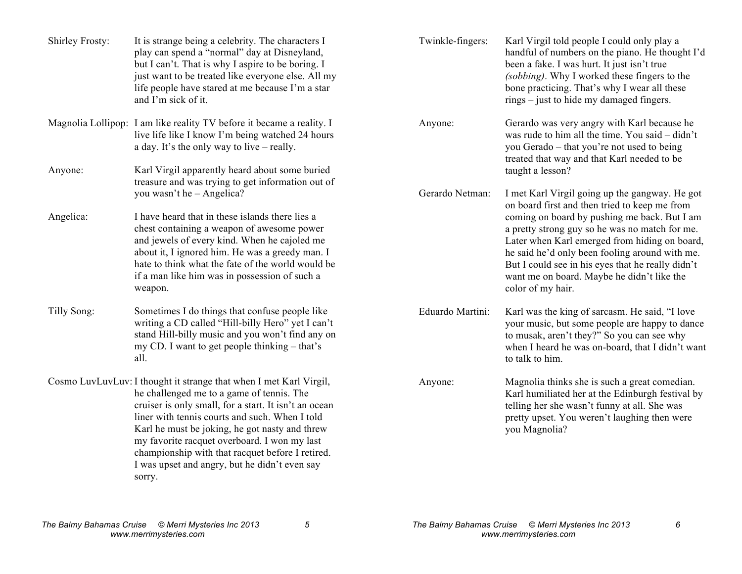| Shirley Frosty: | It is strange being a celebrity. The characters I<br>play can spend a "normal" day at Disneyland,<br>but I can't. That is why I aspire to be boring. I<br>just want to be treated like everyone else. All my<br>life people have stared at me because I'm a star<br>and I'm sick of it.                                                                                                                                                     | Twinkle-fingers: | Karl Virgil told people I could only play a<br>handful of numbers on the piano. He thought I'd<br>been a fake. I was hurt. It just isn't true<br>(sobbing). Why I worked these fingers to the<br>bone practicing. That's why I wear all these<br>rings – just to hide my damaged fingers.                                 |  |
|-----------------|---------------------------------------------------------------------------------------------------------------------------------------------------------------------------------------------------------------------------------------------------------------------------------------------------------------------------------------------------------------------------------------------------------------------------------------------|------------------|---------------------------------------------------------------------------------------------------------------------------------------------------------------------------------------------------------------------------------------------------------------------------------------------------------------------------|--|
|                 | Magnolia Lollipop: I am like reality TV before it became a reality. I<br>live life like I know I'm being watched 24 hours<br>a day. It's the only way to live – really.                                                                                                                                                                                                                                                                     | Anyone:          | Gerardo was very angry with Karl because he<br>was rude to him all the time. You said – didn't<br>you Gerado – that you're not used to being<br>treated that way and that Karl needed to be                                                                                                                               |  |
| Anyone:         | Karl Virgil apparently heard about some buried<br>treasure and was trying to get information out of                                                                                                                                                                                                                                                                                                                                         |                  | taught a lesson?                                                                                                                                                                                                                                                                                                          |  |
|                 | you wasn't he - Angelica?                                                                                                                                                                                                                                                                                                                                                                                                                   | Gerardo Netman:  | I met Karl Virgil going up the gangway. He got<br>on board first and then tried to keep me from                                                                                                                                                                                                                           |  |
| Angelica:       | I have heard that in these islands there lies a<br>chest containing a weapon of awesome power<br>and jewels of every kind. When he cajoled me<br>about it, I ignored him. He was a greedy man. I<br>hate to think what the fate of the world would be<br>if a man like him was in possession of such a<br>weapon.                                                                                                                           |                  | coming on board by pushing me back. But I am<br>a pretty strong guy so he was no match for me.<br>Later when Karl emerged from hiding on board,<br>he said he'd only been fooling around with me.<br>But I could see in his eyes that he really didn't<br>want me on board. Maybe he didn't like the<br>color of my hair. |  |
| Tilly Song:     | Sometimes I do things that confuse people like<br>writing a CD called "Hill-billy Hero" yet I can't<br>stand Hill-billy music and you won't find any on<br>my CD. I want to get people thinking – that's<br>all.                                                                                                                                                                                                                            | Eduardo Martini: | Karl was the king of sarcasm. He said, "I love<br>your music, but some people are happy to dance<br>to musak, aren't they?" So you can see why<br>when I heard he was on-board, that I didn't want<br>to talk to him.                                                                                                     |  |
|                 | Cosmo LuvLuvLuv: I thought it strange that when I met Karl Virgil,<br>he challenged me to a game of tennis. The<br>cruiser is only small, for a start. It isn't an ocean<br>liner with tennis courts and such. When I told<br>Karl he must be joking, he got nasty and threw<br>my favorite racquet overboard. I won my last<br>championship with that racquet before I retired.<br>I was upset and angry, but he didn't even say<br>sorry. | Anyone:          | Magnolia thinks she is such a great comedian.<br>Karl humiliated her at the Edinburgh festival by<br>telling her she wasn't funny at all. She was<br>pretty upset. You weren't laughing then were<br>you Magnolia?                                                                                                        |  |